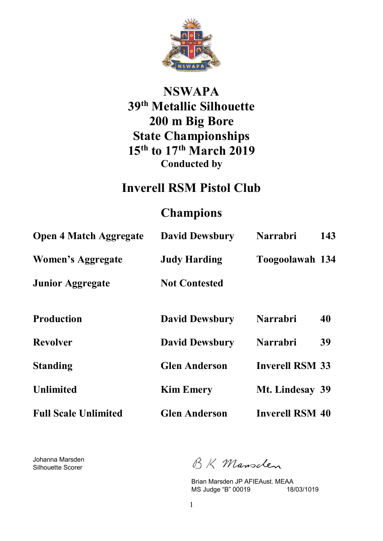

# **NSWAPA 39th Metallic Silhouette 200 m Big Bore State Championships 15th to 17th March 2019 Conducted by**

## **Inverell RSM Pistol Club**

## **Champions**

| <b>Open 4 Match Aggregate</b> | <b>David Dewsbury</b> | <b>Narrabri</b>        | 143 |
|-------------------------------|-----------------------|------------------------|-----|
| Women's Aggregate             | <b>Judy Harding</b>   | Toogoolawah 134        |     |
| <b>Junior Aggregate</b>       | <b>Not Contested</b>  |                        |     |
| <b>Production</b>             | <b>David Dewsbury</b> | <b>Narrabri</b>        | 40  |
| <b>Revolver</b>               | <b>David Dewsbury</b> | <b>Narrabri</b>        | 39  |
| <b>Standing</b>               | <b>Glen Anderson</b>  | <b>Inverell RSM 33</b> |     |
| <b>Unlimited</b>              | <b>Kim Emery</b>      | Mt. Lindesay 39        |     |
| <b>Full Scale Unlimited</b>   | <b>Glen Anderson</b>  | <b>Inverell RSM 40</b> |     |

Johanna Marsden Silhouette Scorer

BK Mansclen

Brian Marsden JP AFIEAust. MEAA<br>MS Judge "B" 00019 18/03/1019 MS Judge "B" 00019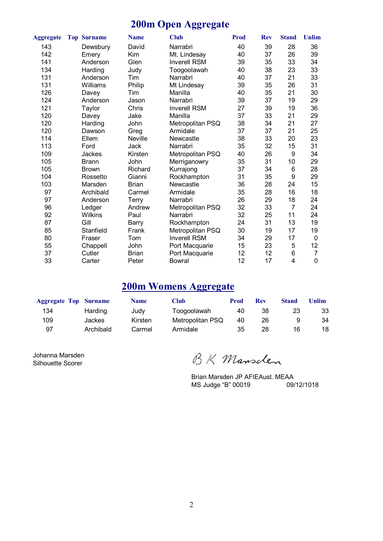#### **200m Open Aggregate**

| <b>Aggregate</b> | <b>Top Surname</b> | <b>Name</b>  | <b>Club</b>         | Prod | <b>Rev</b> | <b>Stand</b>   | <b>Unlim</b> |
|------------------|--------------------|--------------|---------------------|------|------------|----------------|--------------|
| 143              | Dewsbury           | David        | Narrabri            | 40   | 39         | 28             | 36           |
| 142              | Emery              | Kim          | Mt. Lindesay        | 40   | 37         | 26             | 39           |
| 141              | Anderson           | Glen         | <b>Inverell RSM</b> | 39   | 35         | 33             | 34           |
| 134              | Harding            | Judy         | Toogoolawah         | 40   | 38         | 23             | 33           |
| 131              | Anderson           | Tim          | Narrabri            | 40   | 37         | 21             | 33           |
| 131              | Williams           | Philip       | Mt Lindesay         | 39   | 35         | 26             | 31           |
| 126              | Davey              | Tim          | Manilla             | 40   | 35         | 21             | 30           |
| 124              | Anderson           | Jason        | Narrabri            | 39   | 37         | 19             | 29           |
| 121              | Taylor             | Chris        | <b>Inverell RSM</b> | 27   | 39         | 19             | 36           |
| 120              | Davey              | Jake         | Manilla             | 37   | 33         | 21             | 29           |
| 120              | Harding            | John         | Metropolitan PSQ    | 38   | 34         | 21             | 27           |
| 120              | Dawson             | Greg         | Armidale            | 37   | 37         | 21             | 25           |
| 114              | Ellem              | Neville      | Newcastle           | 38   | 33         | 20             | 23           |
| 113              | Ford               | Jack         | Narrabri            | 35   | 32         | 15             | 31           |
| 109              | Jackes             | Kirsten      | Metropolitan PSQ    | 40   | 26         | 9              | 34           |
| 105              | <b>Brann</b>       | John         | Merriganowry        | 35   | 31         | 10             | 29           |
| 105              | <b>Brown</b>       | Richard      | Kurrajong           | 37   | 34         | 6              | 28           |
| 104              | Rossetto           | Gianni       | Rockhampton         | 31   | 35         | 9              | 29           |
| 103              | Marsden            | <b>Brian</b> | Newcastle           | 36   | 28         | 24             | 15           |
| 97               | Archibald          | Carmel       | Armidale            | 35   | 28         | 16             | 18           |
| 97               | Anderson           | Terry        | Narrabri            | 26   | 29         | 18             | 24           |
| 96               | Ledger             | Andrew       | Metropolitan PSQ    | 32   | 33         | $\overline{7}$ | 24           |
| 92               | Wilkins            | Paul         | Narrabri            | 32   | 25         | 11             | 24           |
| 87               | Gill               | <b>Barry</b> | Rockhampton         | 24   | 31         | 13             | 19           |
| 85               | Stanfield          | Frank        | Metropolitan PSQ    | 30   | 19         | 17             | 19           |
| 80               | Fraser             | Tom          | <b>Inverell RSM</b> | 34   | 29         | 17             | $\mathbf 0$  |
| 55               | Chappell           | John         | Port Macquarie      | 15   | 23         | 5              | 12           |
| 37               | Cutler             | <b>Brian</b> | Port Macquarie      | 12   | 12         | 6              | 7            |
| 33               | Carter             | Peter        | Bowral              | 12   | 17         | $\overline{4}$ | $\mathbf 0$  |

### **200m Womens Aggregate**

| <b>Aggregate Top Surname</b> |           | <b>Name</b> | <b>Club</b>      | Prod | <b>Rev</b> | Stand | Unlim |
|------------------------------|-----------|-------------|------------------|------|------------|-------|-------|
| 134                          | Harding   | Judy        | Toogoolawah      | 40   | 38         | 23    | 33    |
| 109                          | Jackes    | Kirsten     | Metropolitan PSQ | 40   | 26         |       | 34    |
| 97                           | Archibald | Carmel      | Armidale         | 35   | 28         | 16    | 18    |

Johanna Marsden Silhouette Scorer

BK Mansclen

Brian Marsden JP AFIEAust. MEAA<br>MS Judge "B" 00019 09/12/1018 MS Judge "B" 00019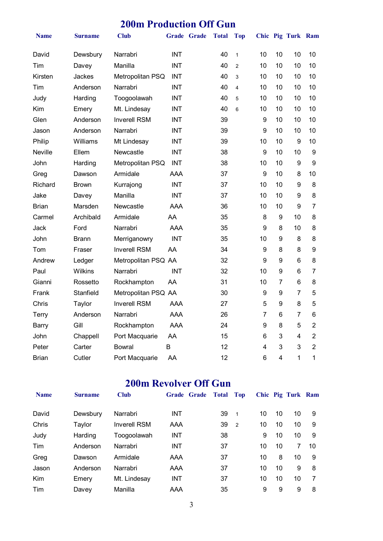### **200m Production Off Gun**

| <b>Name</b>  | Surname        | <b>Club</b>         |            | Grade Grade | <b>Total</b> | <b>Top</b>     |                |                | Chic Pig Turk Ram |                |
|--------------|----------------|---------------------|------------|-------------|--------------|----------------|----------------|----------------|-------------------|----------------|
| David        | Dewsbury       | Narrabri            | <b>INT</b> |             | 40           | $\mathbf{1}$   | 10             | 10             | 10                | 10             |
| Tim          | Davey          | Manilla             | <b>INT</b> |             | 40           | $\overline{2}$ | 10             | 10             | 10                | 10             |
| Kirsten      | <b>Jackes</b>  | Metropolitan PSQ    | <b>INT</b> |             | 40           | 3              | 10             | 10             | 10                | 10             |
| Tim          | Anderson       | Narrabri            | <b>INT</b> |             | 40           | 4              | 10             | 10             | 10                | 10             |
| Judy         | Harding        | Toogoolawah         | <b>INT</b> |             | 40           | 5              | 10             | 10             | 10                | 10             |
| Kim          | Emery          | Mt. Lindesay        | <b>INT</b> |             | 40           | 6              | 10             | 10             | 10                | 10             |
| Glen         | Anderson       | <b>Inverell RSM</b> | <b>INT</b> |             | 39           |                | 9              | 10             | 10                | 10             |
| Jason        | Anderson       | Narrabri            | <b>INT</b> |             | 39           |                | 9              | 10             | 10                | 10             |
| Philip       | Williams       | Mt Lindesay         | <b>INT</b> |             | 39           |                | 10             | 10             | 9                 | 10             |
| Neville      | Ellem          | Newcastle           | <b>INT</b> |             | 38           |                | 9              | 10             | 10                | 9              |
| John         | Harding        | Metropolitan PSQ    | <b>INT</b> |             | 38           |                | 10             | 10             | 9                 | 9              |
| Greg         | Dawson         | Armidale            | <b>AAA</b> |             | 37           |                | 9              | 10             | 8                 | 10             |
| Richard      | <b>Brown</b>   | Kurrajong           | <b>INT</b> |             | 37           |                | 10             | 10             | 9                 | 8              |
| Jake         | Davey          | Manilla             | <b>INT</b> |             | 37           |                | 10             | 10             | 9                 | 8              |
| <b>Brian</b> | Marsden        | Newcastle           | AAA        |             | 36           |                | 10             | 10             | 9                 | 7              |
| Carmel       | Archibald      | Armidale            | AA         |             | 35           |                | 8              | 9              | 10                | 8              |
| Jack         | Ford           | Narrabri            | <b>AAA</b> |             | 35           |                | 9              | 8              | 10                | 8              |
| John         | Brann          | Merriganowry        | <b>INT</b> |             | 35           |                | 10             | 9              | 8                 | 8              |
| Tom          | Fraser         | <b>Inverell RSM</b> | AA         |             | 34           |                | 9              | 8              | 8                 | 9              |
| Andrew       | Ledger         | Metropolitan PSQ AA |            |             | 32           |                | 9              | 9              | 6                 | 8              |
| Paul         | <b>Wilkins</b> | Narrabri            | <b>INT</b> |             | 32           |                | 10             | 9              | 6                 | 7              |
| Gianni       | Rossetto       | Rockhampton         | AA         |             | 31           |                | 10             | $\overline{7}$ | 6                 | 8              |
| Frank        | Stanfield      | Metropolitan PSQ AA |            |             | 30           |                | 9              | 9              | 7                 | 5              |
| Chris        | Taylor         | <b>Inverell RSM</b> | <b>AAA</b> |             | 27           |                | 5              | 9              | 8                 | 5              |
| <b>Terry</b> | Anderson       | Narrabri            | <b>AAA</b> |             | 26           |                | $\overline{7}$ | 6              | $\overline{7}$    | 6              |
| Barry        | Gill           | Rockhampton         | <b>AAA</b> |             | 24           |                | 9              | 8              | 5                 | $\overline{2}$ |
| John         | Chappell       | Port Macquarie      | AA         |             | 15           |                | 6              | 3              | 4                 | $\overline{2}$ |
| Peter        | Carter         | <b>Bowral</b>       | B          |             | 12           |                | 4              | 3              | 3                 | $\overline{2}$ |
| Brian        | Cutler         | Port Macquarie      | AA         |             | 12           |                | 6              | 4              | 1                 | 1              |

## **200m Revolver Off Gun**

| <b>Name</b> | <b>Surname</b> | <b>Club</b>         | <b>Grade Grade</b> | <b>Total</b> | <b>Top</b>     |    |    | Chic Pig Turk Ram |    |
|-------------|----------------|---------------------|--------------------|--------------|----------------|----|----|-------------------|----|
| David       | Dewsbury       | Narrabri            | INT                | 39           | $\mathbf{1}$   | 10 | 10 | 10                | 9  |
| Chris       | Taylor         | <b>Inverell RSM</b> | AAA                | 39           | $\overline{2}$ | 10 | 10 | 10                | 9  |
| Judy        | Harding        | Toogoolawah         | INT                | 38           |                | 9  | 10 | 10                | 9  |
| Tim         | Anderson       | Narrabri            | <b>INT</b>         | 37           |                | 10 | 10 |                   | 10 |
| Greg        | Dawson         | Armidale            | AAA                | 37           |                | 10 | 8  | 10                | 9  |
| Jason       | Anderson       | Narrabri            | AAA                | 37           |                | 10 | 10 | 9                 | 8  |
| Kim         | Emery          | Mt. Lindesay        | INT                | 37           |                | 10 | 10 | 10                | 7  |
| Tim         | Davey          | Manilla             | AAA                | 35           |                | 9  | 9  | 9                 | 8  |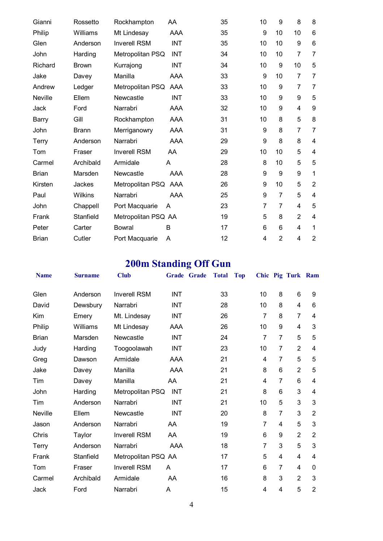| Gianni       | Rossetto       | Rockhampton         | AA         | 35 | 10             | 9              | 8              | 8              |
|--------------|----------------|---------------------|------------|----|----------------|----------------|----------------|----------------|
| Philip       | Williams       | Mt Lindesay         | AAA        | 35 | 9              | 10             | 10             | 6              |
| Glen         | Anderson       | <b>Inverell RSM</b> | <b>INT</b> | 35 | 10             | 10             | 9              | 6              |
| John         | Harding        | Metropolitan PSQ    | <b>INT</b> | 34 | 10             | 10             | $\overline{7}$ | 7              |
| Richard      | <b>Brown</b>   | Kurrajong           | <b>INT</b> | 34 | 10             | 9              | 10             | 5              |
| Jake         | Davey          | Manilla             | AAA        | 33 | 9              | 10             | $\overline{7}$ | 7              |
| Andrew       | Ledger         | Metropolitan PSQ    | AAA        | 33 | 10             | 9              | 7              | 7              |
| Neville      | Ellem          | Newcastle           | INT        | 33 | 10             | 9              | 9              | 5              |
| Jack         | Ford           | Narrabri            | AAA        | 32 | 10             | 9              | $\overline{4}$ | 9              |
| <b>Barry</b> | Gill           | Rockhampton         | AAA        | 31 | 10             | 8              | 5              | 8              |
| John         | <b>Brann</b>   | Merriganowry        | AAA        | 31 | 9              | 8              | $\overline{7}$ | 7              |
| Terry        | Anderson       | Narrabri            | AAA        | 29 | 9              | 8              | 8              | 4              |
| Tom          | Fraser         | <b>Inverell RSM</b> | AA         | 29 | 10             | 10             | 5              | 4              |
| Carmel       | Archibald      | Armidale            | A          | 28 | 8              | 10             | 5              | 5              |
| <b>Brian</b> | Marsden        | Newcastle           | AAA        | 28 | 9              | 9              | 9              | 1              |
| Kirsten      | Jackes         | Metropolitan PSQ    | AAA        | 26 | 9              | 10             | 5              | $\overline{2}$ |
| Paul         | <b>Wilkins</b> | Narrabri            | AAA        | 25 | 9              | $\overline{7}$ | 5              | 4              |
| John         | Chappell       | Port Macquarie      | A          | 23 | $\overline{7}$ | $\overline{7}$ | $\overline{4}$ | 5              |
| Frank        | Stanfield      | Metropolitan PSQ AA |            | 19 | 5              | 8              | $\overline{2}$ | 4              |
| Peter        | Carter         | <b>Bowral</b>       | B          | 17 | 6              | 6              | 4              | 1              |
| <b>Brian</b> | Cutler         | Port Macquarie      | A          | 12 | 4              | $\overline{2}$ | 4              | $\overline{2}$ |

# **200m Standing Off Gun**

| <b>Name</b>    | <b>Surname</b> | <b>Club</b>         | Grade Grade | <b>Total</b> | <b>Top</b> |                |                | Chic Pig Turk Ram |                |
|----------------|----------------|---------------------|-------------|--------------|------------|----------------|----------------|-------------------|----------------|
| Glen           | Anderson       | <b>Inverell RSM</b> | <b>INT</b>  | 33           |            | 10             | 8              | 6                 | 9              |
| David          | Dewsbury       | Narrabri            | <b>INT</b>  | 28           |            | 10             | 8              | 4                 | 6              |
| Kim            | Emery          | Mt. Lindesay        | <b>INT</b>  | 26           |            | $\overline{7}$ | 8              | $\overline{7}$    | 4              |
| Philip         | Williams       | Mt Lindesay         | AAA         | 26           |            | 10             | 9              | $\overline{4}$    | 3              |
| <b>Brian</b>   | Marsden        | Newcastle           | <b>INT</b>  | 24           |            | 7              | 7              | 5                 | 5              |
| Judy           | Harding        | Toogoolawah         | <b>INT</b>  | 23           |            | 10             | 7              | $\overline{2}$    | 4              |
| Greg           | Dawson         | Armidale            | AAA         | 21           |            | 4              | $\overline{7}$ | 5                 | 5              |
| Jake           | Davey          | Manilla             | AAA         | 21           |            | 8              | 6              | $\overline{2}$    | 5              |
| Tim            | Davey          | Manilla             | AA          | 21           |            | 4              | 7              | 6                 | 4              |
| John           | Harding        | Metropolitan PSQ    | INT         | 21           |            | 8              | 6              | 3                 | 4              |
| Tim            | Anderson       | Narrabri            | INT         | 21           |            | 10             | 5              | 3                 | 3              |
| <b>Neville</b> | Ellem          | Newcastle           | <b>INT</b>  | 20           |            | 8              | 7              | 3                 | $\overline{2}$ |
| Jason          | Anderson       | Narrabri            | AA          | 19           |            | $\overline{7}$ | 4              | 5                 | 3              |
| Chris          | Taylor         | <b>Inverell RSM</b> | AA          | 19           |            | 6              | 9              | $\overline{2}$    | $\overline{2}$ |
| Terry          | Anderson       | Narrabri            | AAA         | 18           |            | 7              | 3              | 5                 | 3              |
| Frank          | Stanfield      | Metropolitan PSQ AA |             | 17           |            | 5              | 4              | $\overline{4}$    | 4              |
| Tom            | Fraser         | <b>Inverell RSM</b> | A           | 17           |            | 6              | $\overline{7}$ | 4                 | $\mathbf{0}$   |
| Carmel         | Archibald      | Armidale            | AA          | 16           |            | 8              | 3              | $\overline{2}$    | 3              |
| Jack           | Ford           | Narrabri            | A           | 15           |            | 4              | 4              | 5                 | $\overline{2}$ |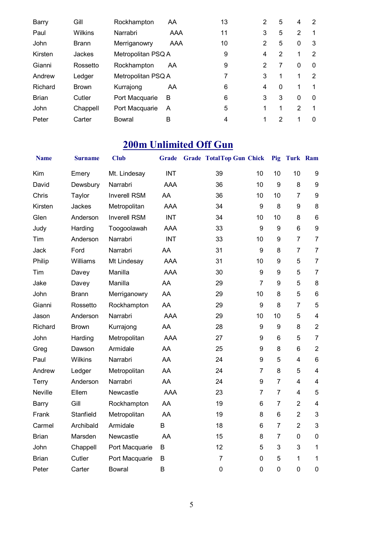| <b>Barry</b> | Gill         | Rockhampton        | AA  | 13 | 2 | 5             | 4              | 2        |
|--------------|--------------|--------------------|-----|----|---|---------------|----------------|----------|
| Paul         | Wilkins      | Narrabri           | AAA | 11 | 3 | 5             | 2              | 1        |
| John         | <b>Brann</b> | Merriganowry       | AAA | 10 | 2 | 5             | 0              | 3        |
| Kirsten      | Jackes       | Metropolitan PSQ A |     | 9  | 4 | 2             | 1              | 2        |
| Gianni       | Rossetto     | Rockhampton        | AA  | 9  | 2 | 7             | $\Omega$       | 0        |
| Andrew       | Ledger       | Metropolitan PSQ A |     | 7  | 3 | 1             | 1              | 2        |
| Richard      | <b>Brown</b> | Kurrajong          | AA  | 6  | 4 | $\Omega$      | 1              |          |
| <b>Brian</b> | Cutler       | Port Macquarie     | B   | 6  | 3 | 3             | $\Omega$       | 0        |
| John         | Chappell     | Port Macquarie     | A   | 5  | 1 | 1             | $\mathfrak{p}$ |          |
| Peter        | Carter       | Bowral             | B   | 4  | 1 | $\mathcal{P}$ | 1              | $\Omega$ |

## **200m Unlimited Off Gun**

| <b>Name</b>    | <b>Surname</b> | <b>Club</b>         | Grade      | <b>Grade TotalTop Gun Chick</b> |                | Pig              | Turk Ram       |                         |
|----------------|----------------|---------------------|------------|---------------------------------|----------------|------------------|----------------|-------------------------|
| Kim            | Emery          | Mt. Lindesay        | <b>INT</b> | 39                              | 10             | 10               | 10             | 9                       |
| David          | Dewsbury       | Narrabri            | <b>AAA</b> | 36                              | 10             | $\boldsymbol{9}$ | 8              | $\boldsymbol{9}$        |
| Chris          | Taylor         | <b>Inverell RSM</b> | AA         | 36                              | 10             | 10               | $\overline{7}$ | $\boldsymbol{9}$        |
| Kirsten        | <b>Jackes</b>  | Metropolitan        | <b>AAA</b> | 34                              | 9              | 8                | 9              | 8                       |
| Glen           | Anderson       | <b>Inverell RSM</b> | <b>INT</b> | 34                              | 10             | 10               | 8              | $6\phantom{1}6$         |
| Judy           | Harding        | Toogoolawah         | <b>AAA</b> | 33                              | 9              | 9                | 6              | $\boldsymbol{9}$        |
| Tim            | Anderson       | Narrabri            | <b>INT</b> | 33                              | 10             | $\boldsymbol{9}$ | $\overline{7}$ | $\overline{7}$          |
| Jack           | Ford           | Narrabri            | AA         | 31                              | $9\,$          | 8                | $\overline{7}$ | $\overline{7}$          |
| Philip         | Williams       | Mt Lindesay         | AAA        | 31                              | 10             | 9                | 5              | $\overline{7}$          |
| Tim            | Davey          | Manilla             | <b>AAA</b> | 30                              | 9              | 9                | 5              | $\overline{7}$          |
| Jake           | Davey          | Manilla             | AA         | 29                              | $\overline{7}$ | 9                | 5              | $\bf 8$                 |
| John           | <b>Brann</b>   | Merriganowry        | AA         | 29                              | 10             | 8                | 5              | $6\phantom{1}$          |
| Gianni         | Rossetto       | Rockhampton         | AA         | 29                              | 9              | 8                | $\overline{7}$ | 5                       |
| Jason          | Anderson       | Narrabri            | <b>AAA</b> | 29                              | 10             | 10               | 5              | $\overline{\mathbf{4}}$ |
| Richard        | <b>Brown</b>   | Kurrajong           | AA         | 28                              | 9              | $\boldsymbol{9}$ | 8              | $\overline{2}$          |
| John           | Harding        | Metropolitan        | <b>AAA</b> | 27                              | 9              | 6                | 5              | $\overline{7}$          |
| Greg           | Dawson         | Armidale            | AA         | 25                              | 9              | 8                | 6              | $\overline{2}$          |
| Paul           | <b>Wilkins</b> | Narrabri            | AA         | 24                              | 9              | 5                | 4              | $6\phantom{1}6$         |
| Andrew         | Ledger         | Metropolitan        | AA         | 24                              | 7              | 8                | 5              | $\overline{\mathbf{4}}$ |
| Terry          | Anderson       | Narrabri            | AA         | 24                              | 9              | $\overline{7}$   | $\overline{4}$ | $\overline{\mathbf{4}}$ |
| <b>Neville</b> | Ellem          | Newcastle           | <b>AAA</b> | 23                              | $\overline{7}$ | $\overline{7}$   | 4              | 5                       |
| Barry          | Gill           | Rockhampton         | AA         | 19                              | 6              | $\overline{7}$   | $\overline{2}$ | $\overline{\mathbf{4}}$ |
| Frank          | Stanfield      | Metropolitan        | AA         | 19                              | 8              | $6\phantom{1}$   | $\overline{2}$ | 3                       |
| Carmel         | Archibald      | Armidale            | B          | 18                              | 6              | $\overline{7}$   | $\overline{2}$ | 3                       |
| <b>Brian</b>   | Marsden        | Newcastle           | AA         | 15                              | 8              | $\overline{7}$   | $\mathbf 0$    | $\mathbf 0$             |
| John           | Chappell       | Port Macquarie      | B          | 12                              | 5              | 3                | 3              | $\mathbf 1$             |
| <b>Brian</b>   | Cutler         | Port Macquarie      | B          | $\overline{7}$                  | $\mathbf 0$    | 5                | 1              | 1                       |
| Peter          | Carter         | <b>Bowral</b>       | B          | $\mathbf 0$                     | $\mathbf 0$    | $\mathbf 0$      | $\mathbf 0$    | $\mathbf 0$             |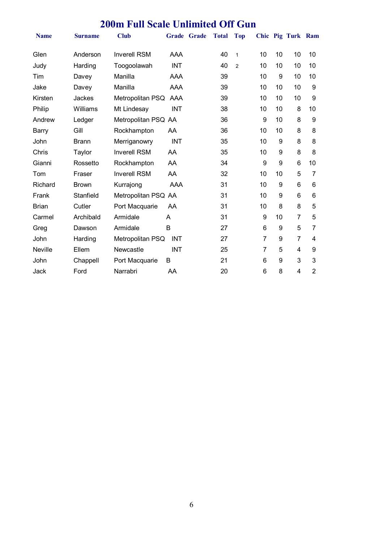### **200m Full Scale Unlimited Off Gun**

| <b>Name</b>    | <b>Surname</b> | <b>Club</b>         | Grade Grade | <b>Total</b> | <b>Top</b>     |                |                  | Chic Pig Turk Ram |                |
|----------------|----------------|---------------------|-------------|--------------|----------------|----------------|------------------|-------------------|----------------|
| Glen           | Anderson       | <b>Inverell RSM</b> | AAA         | 40           | $\mathbf{1}$   | 10             | 10               | 10                | 10             |
| Judy           | Harding        | Toogoolawah         | <b>INT</b>  | 40           | $\overline{2}$ | 10             | 10               | 10                | 10             |
| Tim            | Davey          | Manilla             | AAA         | 39           |                | 10             | 9                | 10                | 10             |
| Jake           | Davey          | Manilla             | <b>AAA</b>  | 39           |                | 10             | 10               | 10                | 9              |
| Kirsten        | Jackes         | Metropolitan PSQ    | AAA         | 39           |                | 10             | 10               | 10                | 9              |
| Philip         | Williams       | Mt Lindesay         | <b>INT</b>  | 38           |                | 10             | 10               | 8                 | 10             |
| Andrew         | Ledger         | Metropolitan PSQ AA |             | 36           |                | 9              | 10               | 8                 | 9              |
| Barry          | Gill           | Rockhampton         | AA          | 36           |                | 10             | 10               | 8                 | 8              |
| John           | <b>Brann</b>   | Merriganowry        | <b>INT</b>  | 35           |                | 10             | 9                | 8                 | 8              |
| Chris          | Taylor         | <b>Inverell RSM</b> | AA          | 35           |                | 10             | 9                | 8                 | 8              |
| Gianni         | Rossetto       | Rockhampton         | AA          | 34           |                | 9              | 9                | 6                 | 10             |
| Tom            | Fraser         | <b>Inverell RSM</b> | AA          | 32           |                | 10             | 10               | 5                 | 7              |
| Richard        | <b>Brown</b>   | Kurrajong           | <b>AAA</b>  | 31           |                | 10             | 9                | 6                 | 6              |
| Frank          | Stanfield      | Metropolitan PSQ AA |             | 31           |                | 10             | 9                | 6                 | 6              |
| <b>Brian</b>   | Cutler         | Port Macquarie      | AA          | 31           |                | 10             | 8                | 8                 | 5              |
| Carmel         | Archibald      | Armidale            | A           | 31           |                | 9              | 10               | $\overline{7}$    | 5              |
| Greg           | Dawson         | Armidale            | B           | 27           |                | 6              | 9                | 5                 | 7              |
| John           | Harding        | Metropolitan PSQ    | <b>INT</b>  | 27           |                | $\overline{7}$ | 9                | $\overline{7}$    | 4              |
| <b>Neville</b> | Ellem          | Newcastle           | <b>INT</b>  | 25           |                | 7              | 5                | 4                 | 9              |
| John           | Chappell       | Port Macquarie      | B           | 21           |                | 6              | $\boldsymbol{9}$ | 3                 | 3              |
| Jack           | Ford           | Narrabri            | AA          | 20           |                | 6              | 8                | 4                 | $\overline{2}$ |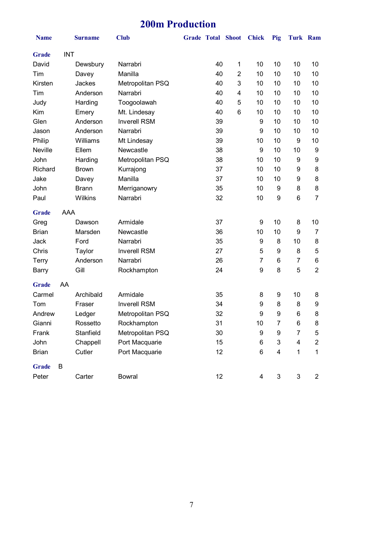### **200m Production**

| <b>Name</b>  |            | <b>Surname</b> | <b>Club</b>         | <b>Grade Total Shoot</b> |                         | <b>Chick</b> | Pig            | <b>Turk Ram</b>           |                |
|--------------|------------|----------------|---------------------|--------------------------|-------------------------|--------------|----------------|---------------------------|----------------|
| <b>Grade</b> | <b>INT</b> |                |                     |                          |                         |              |                |                           |                |
| David        |            | Dewsbury       | Narrabri            | 40                       | 1                       | 10           | 10             | 10                        | 10             |
| Tim          |            | Davey          | Manilla             | 40                       | $\overline{2}$          | 10           | 10             | 10                        | 10             |
| Kirsten      |            | Jackes         | Metropolitan PSQ    | 40                       | 3                       | 10           | 10             | 10                        | 10             |
| Tim          |            | Anderson       | Narrabri            | 40                       | $\overline{\mathbf{4}}$ | 10           | 10             | 10                        | 10             |
| Judy         |            | Harding        | Toogoolawah         | 40                       | 5                       | 10           | 10             | 10                        | 10             |
| Kim          |            | Emery          | Mt. Lindesay        | 40                       | 6                       | 10           | 10             | 10                        | 10             |
| Glen         |            | Anderson       | <b>Inverell RSM</b> | 39                       |                         | 9            | 10             | 10                        | 10             |
| Jason        |            | Anderson       | Narrabri            | 39                       |                         | 9            | 10             | 10                        | 10             |
| Philip       |            | Williams       | Mt Lindesay         | 39                       |                         | 10           | 10             | 9                         | 10             |
| Neville      |            | Ellem          | Newcastle           | 38                       |                         | 9            | 10             | 10                        | 9              |
| John         |            | Harding        | Metropolitan PSQ    | 38                       |                         | 10           | 10             | 9                         | 9              |
| Richard      |            | <b>Brown</b>   | Kurrajong           | 37                       |                         | 10           | 10             | 9                         | 8              |
| Jake         |            | Davey          | Manilla             | 37                       |                         | 10           | 10             | 9                         | 8              |
| John         |            | <b>Brann</b>   | Merriganowry        | 35                       |                         | 10           | 9              | 8                         | 8              |
| Paul         |            | Wilkins        | Narrabri            | 32                       |                         | 10           | 9              | 6                         | $\overline{7}$ |
| <b>Grade</b> | AAA        |                |                     |                          |                         |              |                |                           |                |
| Greg         |            | Dawson         | Armidale            | 37                       |                         | 9            | 10             | 8                         | 10             |
| <b>Brian</b> |            | Marsden        | Newcastle           | 36                       |                         | 10           | 10             | 9                         | 7              |
| Jack         |            | Ford           | Narrabri            | 35                       |                         | 9            | 8              | 10                        | 8              |
| Chris        |            | Taylor         | <b>Inverell RSM</b> | 27                       |                         | 5            | 9              | 8                         | 5              |
| Terry        |            | Anderson       | Narrabri            | 26                       |                         | 7            | 6              | 7                         | 6              |
| <b>Barry</b> |            | Gill           | Rockhampton         | 24                       |                         | 9            | 8              | 5                         | $\overline{2}$ |
| <b>Grade</b> | AA         |                |                     |                          |                         |              |                |                           |                |
| Carmel       |            | Archibald      | Armidale            | 35                       |                         | 8            | 9              | 10                        | 8              |
| Tom          |            | Fraser         | <b>Inverell RSM</b> | 34                       |                         | 9            | 8              | 8                         | 9              |
| Andrew       |            | Ledger         | Metropolitan PSQ    | 32                       |                         | 9            | 9              | 6                         | 8              |
| Gianni       |            | Rossetto       | Rockhampton         | 31                       |                         | 10           | 7              | 6                         | 8              |
| Frank        |            | Stanfield      | Metropolitan PSQ    | 30                       |                         | 9            | 9              | $\overline{7}$            | 5              |
| John         |            | Chappell       | Port Macquarie      | 15                       |                         | 6            | 3              | 4                         | $\overline{2}$ |
| <b>Brian</b> |            | Cutler         | Port Macquarie      | 12                       |                         | 6            | 4              | 1                         | 1              |
| <b>Grade</b> | B          |                |                     |                          |                         |              |                |                           |                |
| Peter        |            | Carter         | <b>Bowral</b>       | 12                       |                         | 4            | $\mathfrak{S}$ | $\ensuremath{\mathsf{3}}$ | $\overline{c}$ |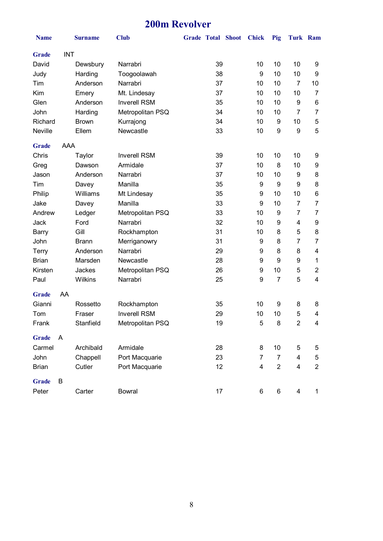### **200m Revolver**

| <b>Name</b>  |            | <b>Surname</b> | <b>Club</b>         | <b>Grade Total Shoot</b> |    | <b>Chick</b>   | Pig            | Turk Ram                |                |
|--------------|------------|----------------|---------------------|--------------------------|----|----------------|----------------|-------------------------|----------------|
| <b>Grade</b> | <b>INT</b> |                |                     |                          |    |                |                |                         |                |
| David        |            | Dewsbury       | Narrabri            |                          | 39 | 10             | 10             | 10                      | 9              |
| Judy         |            | Harding        | Toogoolawah         |                          | 38 | 9              | 10             | 10                      | 9              |
| Tim          |            | Anderson       | Narrabri            |                          | 37 | 10             | 10             | $\overline{7}$          | 10             |
| Kim          |            | Emery          | Mt. Lindesay        |                          | 37 | 10             | 10             | 10                      | 7              |
| Glen         |            | Anderson       | <b>Inverell RSM</b> |                          | 35 | 10             | 10             | 9                       | 6              |
| John         |            | Harding        | Metropolitan PSQ    |                          | 34 | 10             | 10             | $\overline{7}$          | $\overline{7}$ |
| Richard      |            | <b>Brown</b>   | Kurrajong           |                          | 34 | 10             | 9              | 10                      | 5              |
| Neville      |            | Ellem          | Newcastle           |                          | 33 | 10             | 9              | 9                       | 5              |
| <b>Grade</b> | AAA        |                |                     |                          |    |                |                |                         |                |
| Chris        |            | Taylor         | <b>Inverell RSM</b> |                          | 39 | 10             | 10             | 10                      | 9              |
| Greg         |            | Dawson         | Armidale            |                          | 37 | 10             | 8              | 10                      | 9              |
| Jason        |            | Anderson       | Narrabri            |                          | 37 | 10             | 10             | 9                       | 8              |
| Tim          |            | Davey          | Manilla             |                          | 35 | 9              | 9              | 9                       | 8              |
| Philip       |            | Williams       | Mt Lindesay         |                          | 35 | 9              | 10             | 10                      | 6              |
| Jake         |            | Davey          | Manilla             |                          | 33 | 9              | 10             | $\overline{7}$          | $\overline{7}$ |
| Andrew       |            | Ledger         | Metropolitan PSQ    |                          | 33 | 10             | 9              | $\overline{7}$          | 7              |
| Jack         |            | Ford           | Narrabri            |                          | 32 | 10             | 9              | 4                       | 9              |
| <b>Barry</b> |            | Gill           | Rockhampton         |                          | 31 | 10             | 8              | 5                       | 8              |
| John         |            | <b>Brann</b>   | Merriganowry        |                          | 31 | 9              | 8              | $\overline{7}$          | 7              |
| Terry        |            | Anderson       | Narrabri            |                          | 29 | 9              | 8              | 8                       | 4              |
| <b>Brian</b> |            | Marsden        | Newcastle           |                          | 28 | 9              | 9              | 9                       | 1              |
| Kirsten      |            | Jackes         | Metropolitan PSQ    |                          | 26 | 9              | 10             | 5                       | $\overline{2}$ |
| Paul         |            | Wilkins        | Narrabri            |                          | 25 | 9              | $\overline{7}$ | 5                       | 4              |
| <b>Grade</b> | AA         |                |                     |                          |    |                |                |                         |                |
| Gianni       |            | Rossetto       | Rockhampton         |                          | 35 | 10             | 9              | 8                       | 8              |
| Tom          |            | Fraser         | <b>Inverell RSM</b> |                          | 29 | 10             | 10             | 5                       | 4              |
| Frank        |            | Stanfield      | Metropolitan PSQ    |                          | 19 | 5              | 8              | $\overline{2}$          | 4              |
| <b>Grade</b> | A          |                |                     |                          |    |                |                |                         |                |
| Carmel       |            | Archibald      | Armidale            |                          | 28 | 8              | 10             | 5                       | 5              |
| John         |            | Chappell       | Port Macquarie      |                          | 23 | 7              | $\overline{7}$ | $\overline{4}$          | 5              |
| <b>Brian</b> |            | Cutler         | Port Macquarie      |                          | 12 | $\overline{4}$ | $\overline{2}$ | $\overline{\mathbf{4}}$ | $\overline{2}$ |
| <b>Grade</b> | B          |                |                     |                          |    |                |                |                         |                |
| Peter        |            | Carter         | <b>Bowral</b>       |                          | 17 | 6              | 6              | 4                       | 1              |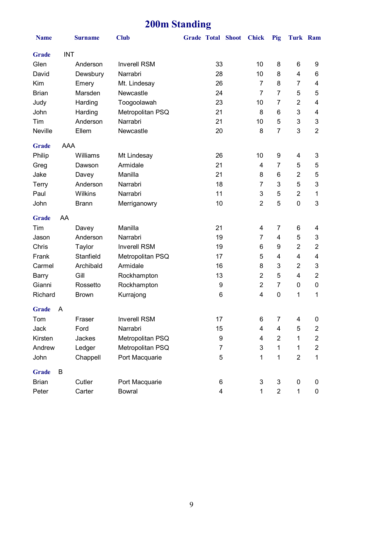## **200m Standing**

| <b>Name</b>  |            | <b>Surname</b> | <b>Club</b>         | <b>Grade Total Shoot</b> |    |  | <b>Chick</b>   | Pig            | <b>Turk Ram</b>         |                         |
|--------------|------------|----------------|---------------------|--------------------------|----|--|----------------|----------------|-------------------------|-------------------------|
| <b>Grade</b> | <b>INT</b> |                |                     |                          |    |  |                |                |                         |                         |
| Glen         |            | Anderson       | <b>Inverell RSM</b> | 33                       |    |  | 10             | 8              | 6                       | 9                       |
| David        |            | Dewsbury       | Narrabri            | 28                       |    |  | 10             | 8              | $\overline{\mathbf{4}}$ | 6                       |
| Kim          |            | Emery          | Mt. Lindesay        |                          | 26 |  | $\overline{7}$ | 8              | $\overline{7}$          | 4                       |
| <b>Brian</b> |            | Marsden        | Newcastle           |                          | 24 |  | 7              | 7              | 5                       | 5                       |
| Judy         |            | Harding        | Toogoolawah         |                          | 23 |  | 10             | 7              | $\overline{2}$          | 4                       |
| John         |            | Harding        | Metropolitan PSQ    |                          | 21 |  | 8              | 6              | 3                       | 4                       |
| Tim          |            | Anderson       | Narrabri            |                          | 21 |  | 10             | 5              | 3                       | 3                       |
| Neville      |            | Ellem          | Newcastle           |                          | 20 |  | 8              | 7              | 3                       | $\overline{2}$          |
| <b>Grade</b> | AAA        |                |                     |                          |    |  |                |                |                         |                         |
| Philip       |            | Williams       | Mt Lindesay         |                          | 26 |  | 10             | 9              | 4                       | 3                       |
| Greg         |            | Dawson         | Armidale            |                          | 21 |  | 4              | 7              | 5                       | 5                       |
| Jake         |            | Davey          | Manilla             |                          | 21 |  | 8              | 6              | $\overline{2}$          | 5                       |
| Terry        |            | Anderson       | Narrabri            |                          | 18 |  | $\overline{7}$ | 3              | 5                       | 3                       |
| Paul         |            | Wilkins        | Narrabri            |                          | 11 |  | $\mathbf{3}$   | 5              | $\overline{2}$          | 1                       |
| John         |            | <b>Brann</b>   | Merriganowry        |                          | 10 |  | $\overline{2}$ | 5              | $\mathbf 0$             | 3                       |
| <b>Grade</b> | AA         |                |                     |                          |    |  |                |                |                         |                         |
| Tim          |            | Davey          | Manilla             |                          | 21 |  | 4              | 7              | 6                       | 4                       |
| Jason        |            | Anderson       | Narrabri            |                          | 19 |  | 7              | 4              | 5                       | 3                       |
| Chris        |            | Taylor         | <b>Inverell RSM</b> |                          | 19 |  | 6              | 9              | $\overline{2}$          | $\overline{2}$          |
| Frank        |            | Stanfield      | Metropolitan PSQ    |                          | 17 |  | 5              | 4              | $\overline{\mathbf{4}}$ | 4                       |
| Carmel       |            | Archibald      | Armidale            |                          | 16 |  | 8              | 3              | $\overline{2}$          | 3                       |
| <b>Barry</b> |            | Gill           | Rockhampton         |                          | 13 |  | $\overline{2}$ | 5              | $\overline{\mathbf{4}}$ | $\overline{2}$          |
| Gianni       |            | Rossetto       | Rockhampton         |                          | 9  |  | $\overline{2}$ | $\overline{7}$ | 0                       | $\pmb{0}$               |
| Richard      |            | <b>Brown</b>   | Kurrajong           |                          | 6  |  | 4              | $\mathbf 0$    | 1                       | 1                       |
| <b>Grade</b> | A          |                |                     |                          |    |  |                |                |                         |                         |
| Tom          |            | Fraser         | <b>Inverell RSM</b> |                          | 17 |  | 6              | $\overline{7}$ | 4                       | 0                       |
| Jack         |            | Ford           | Narrabri            |                          | 15 |  | 4              | 4              | 5                       | $\overline{\mathbf{c}}$ |
| Kirsten      |            | Jackes         | Metropolitan PSQ    |                          | 9  |  | 4              | $\overline{2}$ | 1                       | $\mathbf{2}$            |
| Andrew       |            | Ledger         | Metropolitan PSQ    |                          | 7  |  | 3              | 1              | 1                       | $\overline{c}$          |
| John         |            | Chappell       | Port Macquarie      |                          | 5  |  | 1              | 1              | $\overline{2}$          | 1                       |
| <b>Grade</b> | B          |                |                     |                          |    |  |                |                |                         |                         |
| <b>Brian</b> |            | Cutler         | Port Macquarie      |                          | 6  |  | 3              | 3              | $\mathbf 0$             | 0                       |
| Peter        |            | Carter         | <b>Bowral</b>       |                          | 4  |  | 1              | $\overline{2}$ | $\mathbf{1}$            | 0                       |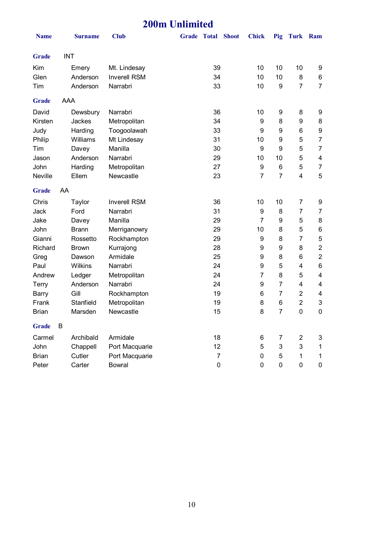| <b>200m Unlimited</b> |     |                |                     |                    |                  |              |                  |                |                |                         |
|-----------------------|-----|----------------|---------------------|--------------------|------------------|--------------|------------------|----------------|----------------|-------------------------|
| <b>Name</b>           |     | <b>Surname</b> | <b>Club</b>         | <b>Grade Total</b> |                  | <b>Shoot</b> | <b>Chick</b>     | Pig            | Turk Ram       |                         |
| <b>Grade</b>          |     | <b>INT</b>     |                     |                    |                  |              |                  |                |                |                         |
| Kim                   |     | Emery          | Mt. Lindesay        |                    | 39               |              | 10               | 10             | 10             | 9                       |
| Glen                  |     | Anderson       | <b>Inverell RSM</b> |                    | 34               |              | 10               | 10             | 8              | 6                       |
| Tim                   |     | Anderson       | Narrabri            |                    | 33               |              | 10               | 9              | $\overline{7}$ | $\overline{7}$          |
| <b>Grade</b>          | AAA |                |                     |                    |                  |              |                  |                |                |                         |
| David                 |     | Dewsbury       | Narrabri            |                    | 36               |              | 10               | 9              | 8              | 9                       |
| Kirsten               |     | Jackes         | Metropolitan        |                    | 34               |              | 9                | 8              | 9              | 8                       |
| Judy                  |     | Harding        | Toogoolawah         |                    | 33               |              | 9                | 9              | 6              | $\boldsymbol{9}$        |
| Philip                |     | Williams       | Mt Lindesay         |                    | 31               |              | 10               | 9              | 5              | $\overline{7}$          |
| Tim                   |     | Davey          | Manilla             |                    | 30               |              | $\boldsymbol{9}$ | 9              | 5              | $\overline{7}$          |
| Jason                 |     | Anderson       | Narrabri            |                    | 29               |              | 10               | 10             | 5              | $\overline{\mathbf{4}}$ |
| John                  |     | Harding        | Metropolitan        |                    | 27               |              | 9                | 6              | 5              | 7                       |
| Neville               |     | Ellem          | Newcastle           |                    | 23               |              | $\overline{7}$   | $\overline{7}$ | 4              | 5                       |
| <b>Grade</b>          | AA  |                |                     |                    |                  |              |                  |                |                |                         |
| Chris                 |     | Taylor         | <b>Inverell RSM</b> |                    | 36               |              | 10               | 10             | $\overline{7}$ | 9                       |
| Jack                  |     | Ford           | Narrabri            |                    | 31               |              | 9                | 8              | 7              | $\overline{7}$          |
| Jake                  |     | Davey          | Manilla             |                    | 29               |              | $\overline{7}$   | 9              | 5              | 8                       |
| John                  |     | <b>Brann</b>   | Merriganowry        |                    | 29               |              | 10               | 8              | 5              | $\,6\,$                 |
| Gianni                |     | Rossetto       | Rockhampton         |                    | 29               |              | 9                | 8              | 7              | 5                       |
| Richard               |     | <b>Brown</b>   | Kurrajong           |                    | 28               |              | 9                | 9              | 8              | $\overline{c}$          |
| Greg                  |     | Dawson         | Armidale            |                    | 25               |              | 9                | 8              | 6              | $\boldsymbol{2}$        |
| Paul                  |     | Wilkins        | Narrabri            |                    | 24               |              | 9                | 5              | 4              | 6                       |
| Andrew                |     | Ledger         | Metropolitan        |                    | 24               |              | 7                | 8              | 5              | $\overline{\mathbf{4}}$ |
| <b>Terry</b>          |     | Anderson       | Narrabri            |                    | 24               |              | 9                | $\overline{7}$ | 4              | 4                       |
| <b>Barry</b>          |     | Gill           | Rockhampton         |                    | 19               |              | 6                | $\overline{7}$ | $\overline{2}$ | 4                       |
| Frank                 |     | Stanfield      | Metropolitan        |                    | 19               |              | 8                | 6              | $\overline{2}$ | 3                       |
| <b>Brian</b>          |     | Marsden        | Newcastle           |                    | 15               |              | 8                | $\overline{7}$ | 0              | $\pmb{0}$               |
| <b>Grade</b>          | B   |                |                     |                    |                  |              |                  |                |                |                         |
| Carmel                |     | Archibald      | Armidale            |                    | 18               |              | 6                | 7              | 2              | 3                       |
| John                  |     | Chappell       | Port Macquarie      |                    | 12               |              | 5                | 3              | 3              | $\mathbf 1$             |
| <b>Brian</b>          |     | Cutler         | Port Macquarie      |                    | $\overline{7}$   |              | 0                | 5              | 1              | 1                       |
| Peter                 |     | Carter         | <b>Bowral</b>       |                    | $\boldsymbol{0}$ |              | $\pmb{0}$        | $\pmb{0}$      | 0              | 0                       |